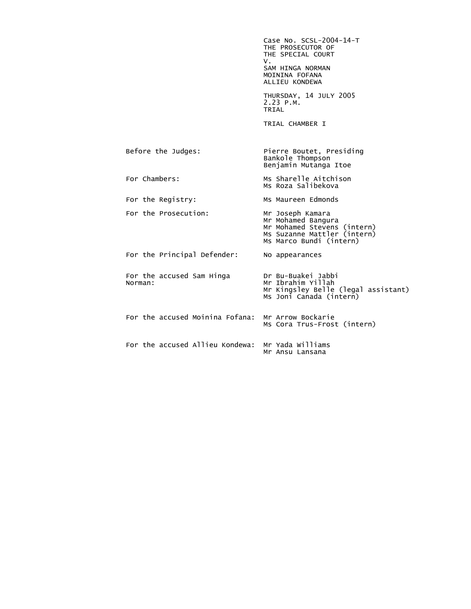|                                      | Case No. SCSL-2004-14-T<br>THE PROSECUTOR OF<br>THE SPECIAL COURT<br>v.<br>SAM HINGA NORMAN<br>MOININA FOFANA<br>ALLIEU KONDEWA |
|--------------------------------------|---------------------------------------------------------------------------------------------------------------------------------|
|                                      | THURSDAY, 14 JULY 2005<br>$2.23$ P.M.<br>TRIAL                                                                                  |
|                                      | TRIAL CHAMBER I                                                                                                                 |
| Before the Judges:                   | Pierre Boutet, Presiding<br>Bankole Thompson<br>Benjamin Mutanga Itoe                                                           |
| For Chambers:                        | Ms Sharelle Aitchison<br>Ms Roza Salibekova                                                                                     |
| For the Registry:                    | Ms Maureen Edmonds                                                                                                              |
| For the Prosecution:                 | Mr Joseph Kamara<br>Mr Mohamed Bangura<br>Mr Mohamed Stevens (intern)<br>Ms Suzanne Mattler (intern)<br>Ms Marco Bundi (intern) |
| For the Principal Defender:          | No appearances                                                                                                                  |
| For the accused Sam Hinga<br>Norman: | Dr Bu-Buakei Jabbi<br>Mr Ibrahim Yillah<br>Mr Kingsley Belle (legal assistant)<br>Ms Joni Canada (intern)                       |
| For the accused Moinina Fofana:      | Mr Arrow Bockarie<br>Ms Cora Trus-Frost (intern)                                                                                |
| For the accused Allieu Kondewa:      | Mr Yada Williams<br>Mr Ansu Lansana                                                                                             |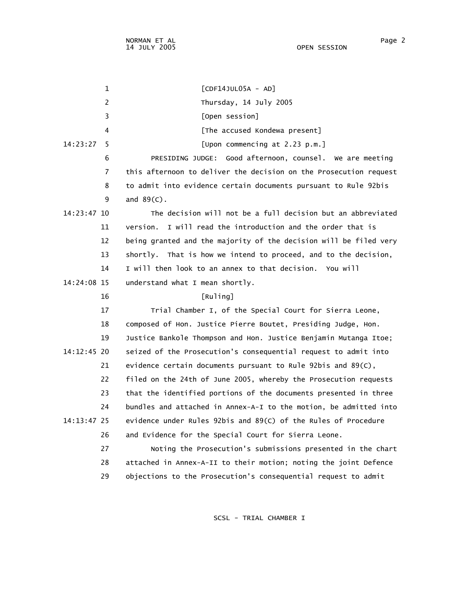1 [CDF14JUL05A - AD] 2 Thursday, 14 July 2005 3 [Open session] 4 **Example 2** [The accused Kondewa present] 14:23:27 5 [Upon commencing at 2.23 p.m.] 6 PRESIDING JUDGE: Good afternoon, counsel. We are meeting 7 this afternoon to deliver the decision on the Prosecution request 8 to admit into evidence certain documents pursuant to Rule 92bis 9 and 89(C). 14:23:47 10 The decision will not be a full decision but an abbreviated 11 version. I will read the introduction and the order that is 12 being granted and the majority of the decision will be filed very 13 shortly. That is how we intend to proceed, and to the decision, 14 I will then look to an annex to that decision. You will 14:24:08 15 understand what I mean shortly. 16 [Ruling] 17 Trial Chamber I, of the Special Court for Sierra Leone, 18 composed of Hon. Justice Pierre Boutet, Presiding Judge, Hon. 19 Justice Bankole Thompson and Hon. Justice Benjamin Mutanga Itoe; 14:12:45 20 seized of the Prosecution's consequential request to admit into 21 evidence certain documents pursuant to Rule 92bis and 89(C), 22 filed on the 24th of June 2005, whereby the Prosecution requests 23 that the identified portions of the documents presented in three 24 bundles and attached in Annex-A-I to the motion, be admitted into 14:13:47 25 evidence under Rules 92bis and 89(C) of the Rules of Procedure 26 and Evidence for the Special Court for Sierra Leone. 27 Noting the Prosecution's submissions presented in the chart 28 attached in Annex-A-II to their motion; noting the joint Defence 29 objections to the Prosecution's consequential request to admit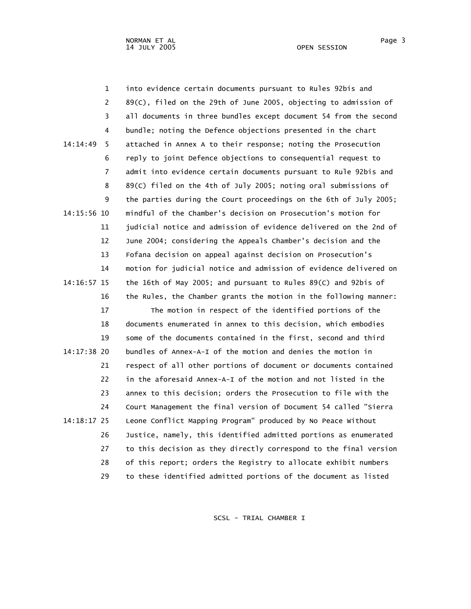|             | $\mathbf 1$    | into evidence certain documents pursuant to Rules 92bis and       |
|-------------|----------------|-------------------------------------------------------------------|
|             | 2              | 89(C), filed on the 29th of June 2005, objecting to admission of  |
|             | 3              | all documents in three bundles except document 54 from the second |
|             | 4              | bundle; noting the Defence objections presented in the chart      |
| 14:14:49    | 5              | attached in Annex A to their response; noting the Prosecution     |
|             | 6              | reply to joint Defence objections to consequential request to     |
|             | $\overline{7}$ | admit into evidence certain documents pursuant to Rule 92bis and  |
|             | 8              | 89(c) filed on the 4th of July 2005; noting oral submissions of   |
|             | 9              | the parties during the Court proceedings on the 6th of July 2005; |
| 14:15:56 10 |                | mindful of the Chamber's decision on Prosecution's motion for     |
|             | 11             | judicial notice and admission of evidence delivered on the 2nd of |
|             | 12             | June 2004; considering the Appeals Chamber's decision and the     |
|             | 13             | Fofana decision on appeal against decision on Prosecution's       |
|             | 14             | motion for judicial notice and admission of evidence delivered on |
| 14:16:57 15 |                | the 16th of May 2005; and pursuant to Rules 89(C) and 92bis of    |
|             | 16             | the Rules, the Chamber grants the motion in the following manner: |
|             | 17             | The motion in respect of the identified portions of the           |
|             | 18             | documents enumerated in annex to this decision, which embodies    |
|             | 19             | some of the documents contained in the first, second and third    |
| 14:17:38 20 |                | bundles of Annex-A-I of the motion and denies the motion in       |
|             | 21             | respect of all other portions of document or documents contained  |
|             | 22             | in the aforesaid Annex-A-I of the motion and not listed in the    |
|             | 23             | annex to this decision; orders the Prosecution to file with the   |
|             | 24             | Court Management the final version of Document 54 called "Sierra  |
| 14:18:17 25 |                | Leone Conflict Mapping Program" produced by No Peace Without      |
|             | 26             | Justice, namely, this identified admitted portions as enumerated  |
|             | 27             | to this decision as they directly correspond to the final version |
|             | 28             | of this report; orders the Registry to allocate exhibit numbers   |
|             | 29             | to these identified admitted portions of the document as listed   |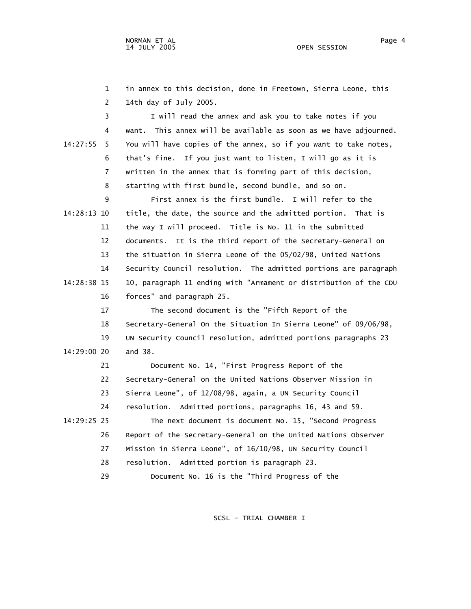1 in annex to this decision, done in Freetown, Sierra Leone, this 2 14th day of July 2005.

 3 I will read the annex and ask you to take notes if you 4 want. This annex will be available as soon as we have adjourned. 14:27:55 5 You will have copies of the annex, so if you want to take notes, 6 that's fine. If you just want to listen, I will go as it is 7 written in the annex that is forming part of this decision, 8 starting with first bundle, second bundle, and so on.

 9 First annex is the first bundle. I will refer to the 14:28:13 10 title, the date, the source and the admitted portion. That is 11 the way I will proceed. Title is No. 11 in the submitted 12 documents. It is the third report of the Secretary-General on 13 the situation in Sierra Leone of the 05/02/98, United Nations 14 Security Council resolution. The admitted portions are paragraph 14:28:38 15 10, paragraph 11 ending with "Armament or distribution of the CDU 16 forces" and paragraph 25.

 17 The second document is the "Fifth Report of the 18 Secretary-General On the Situation In Sierra Leone" of 09/06/98, 19 UN Security Council resolution, admitted portions paragraphs 23 14:29:00 20 and 38.

 21 Document No. 14, "First Progress Report of the 22 Secretary-General on the United Nations Observer Mission in 23 Sierra Leone", of 12/08/98, again, a UN Security Council 24 resolution. Admitted portions, paragraphs 16, 43 and 59. 14:29:25 25 The next document is document No. 15, "Second Progress 26 Report of the Secretary-General on the United Nations Observer

- 27 Mission in Sierra Leone", of 16/10/98, UN Security Council
- 28 resolution. Admitted portion is paragraph 23.
- 29 Document No. 16 is the "Third Progress of the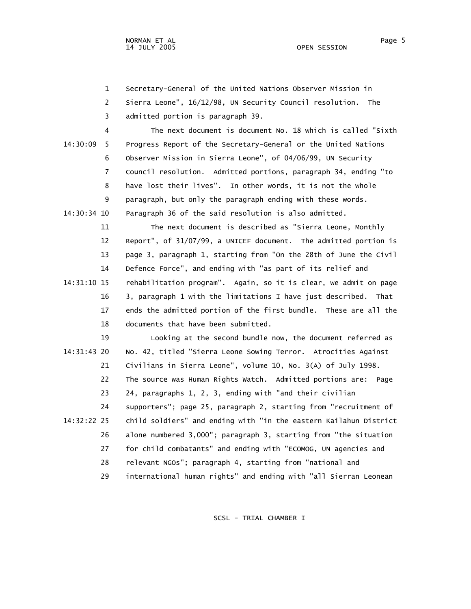1 Secretary-General of the United Nations Observer Mission in

 2 Sierra Leone", 16/12/98, UN Security Council resolution. The 3 admitted portion is paragraph 39.

 4 The next document is document No. 18 which is called "Sixth 14:30:09 5 Progress Report of the Secretary-General or the United Nations 6 Observer Mission in Sierra Leone", of 04/06/99, UN Security 7 Council resolution. Admitted portions, paragraph 34, ending "to 8 have lost their lives". In other words, it is not the whole 9 paragraph, but only the paragraph ending with these words. 14:30:34 10 Paragraph 36 of the said resolution is also admitted.

 11 The next document is described as "Sierra Leone, Monthly 12 Report", of 31/07/99, a UNICEF document. The admitted portion is 13 page 3, paragraph 1, starting from "On the 28th of June the Civil 14 Defence Force", and ending with "as part of its relief and 14:31:10 15 rehabilitation program". Again, so it is clear, we admit on page 16 3, paragraph 1 with the limitations I have just described. That 17 ends the admitted portion of the first bundle. These are all the 18 documents that have been submitted.

 19 Looking at the second bundle now, the document referred as 14:31:43 20 No. 42, titled "Sierra Leone Sowing Terror. Atrocities Against 21 Civilians in Sierra Leone", volume 10, No. 3(A) of July 1998. 22 The source was Human Rights Watch. Admitted portions are: Page 23 24, paragraphs 1, 2, 3, ending with "and their civilian 24 supporters"; page 25, paragraph 2, starting from "recruitment of 14:32:22 25 child soldiers" and ending with "in the eastern Kailahun District 26 alone numbered 3,000"; paragraph 3, starting from "the situation 27 for child combatants" and ending with "ECOMOG, UN agencies and 28 relevant NGOs"; paragraph 4, starting from "national and 29 international human rights" and ending with "all Sierran Leonean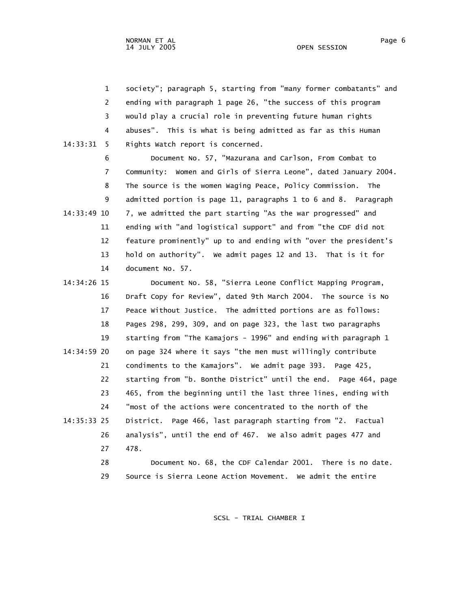1 society"; paragraph 5, starting from "many former combatants" and 2 ending with paragraph 1 page 26, "the success of this program 3 would play a crucial role in preventing future human rights 4 abuses". This is what is being admitted as far as this Human 14:33:31 5 Rights Watch report is concerned.

 6 Document No. 57, "Mazurana and Carlson, From Combat to 7 Community: Women and Girls of Sierra Leone", dated January 2004. 8 The source is the women Waging Peace, Policy Commission. The 9 admitted portion is page 11, paragraphs 1 to 6 and 8. Paragraph 14:33:49 10 7, we admitted the part starting "As the war progressed" and 11 ending with "and logistical support" and from "the CDF did not 12 feature prominently" up to and ending with "over the president's 13 hold on authority". We admit pages 12 and 13. That is it for 14 document No. 57.

 14:34:26 15 Document No. 58, "Sierra Leone Conflict Mapping Program, 16 Draft Copy for Review", dated 9th March 2004. The source is No 17 Peace Without Justice. The admitted portions are as follows: 18 Pages 298, 299, 309, and on page 323, the last two paragraphs 19 starting from "The Kamajors - 1996" and ending with paragraph 1 14:34:59 20 on page 324 where it says "the men must willingly contribute 21 condiments to the Kamajors". We admit page 393. Page 425, 22 starting from "b. Bonthe District" until the end. Page 464, page 23 465, from the beginning until the last three lines, ending with 24 "most of the actions were concentrated to the north of the 14:35:33 25 District. Page 466, last paragraph starting from "2. Factual 26 analysis", until the end of 467. We also admit pages 477 and 27 478. 28 Document No. 68, the CDF Calendar 2001. There is no date. 29 Source is Sierra Leone Action Movement. We admit the entire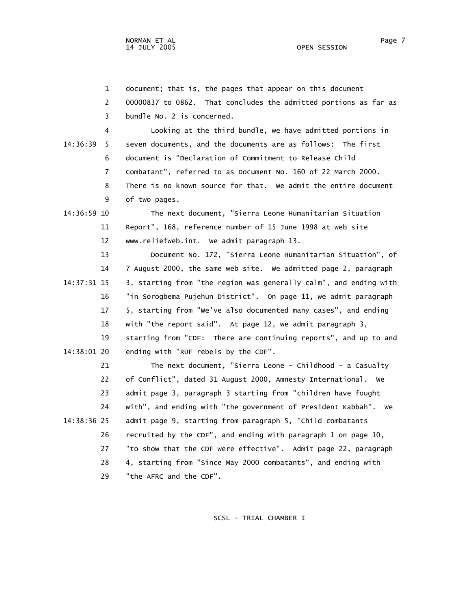1 document; that is, the pages that appear on this document

 2 00000837 to 0862. That concludes the admitted portions as far as 3 bundle No. 2 is concerned.

 4 Looking at the third bundle, we have admitted portions in 14:36:39 5 seven documents, and the documents are as follows: The first 6 document is "Declaration of Commitment to Release Child 7 Combatant", referred to as Document No. 160 of 22 March 2000. 8 There is no known source for that. We admit the entire document 9 of two pages.

 14:36:59 10 The next document, "Sierra Leone Humanitarian Situation 11 Report", 168, reference number of 15 June 1998 at web site 12 www.reliefweb.int. We admit paragraph 13.

 13 Document No. 172, "Sierra Leone Humanitarian Situation", of 14 7 August 2000, the same web site. We admitted page 2, paragraph 14:37:31 15 3, starting from "the region was generally calm", and ending with 16 "in Sorogbema Pujehun District". On page 11, we admit paragraph 17 5, starting from "We've also documented many cases", and ending 18 with "the report said". At page 12, we admit paragraph 3, 19 starting from "CDF: There are continuing reports", and up to and 14:38:01 20 ending with "RUF rebels by the CDF".

 21 The next document, "Sierra Leone - Childhood - a Casualty 22 of Conflict", dated 31 August 2000, Amnesty International. We 23 admit page 3, paragraph 3 starting from "children have fought 24 with", and ending with "the government of President Kabbah". We 14:38:36 25 admit page 9, starting from paragraph 5, "Child combatants 26 recruited by the CDF", and ending with paragraph 1 on page 10, 27 "to show that the CDF were effective". Admit page 22, paragraph 28 4, starting from "Since May 2000 combatants", and ending with 29 "the AFRC and the CDF".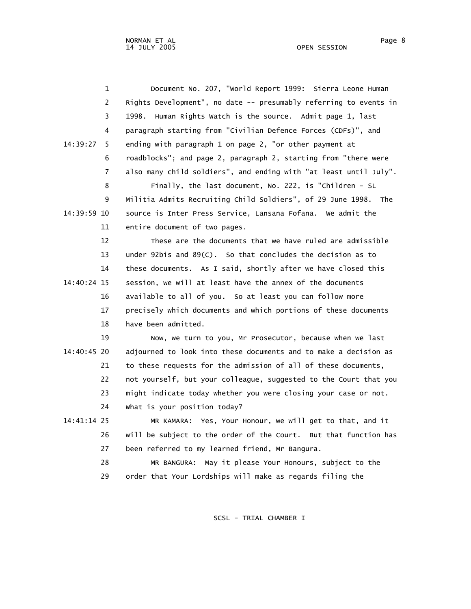| $\mathbf{1}$   | Document No. 207, "world Report 1999: Sierra Leone Human          |
|----------------|-------------------------------------------------------------------|
| $\overline{2}$ | Rights Development", no date -- presumably referring to events in |
| 3              | 1998. Human Rights Watch is the source. Admit page 1, last        |
| 4              | paragraph starting from "Civilian Defence Forces (CDFs)", and     |
| 14:39:27<br>5  | ending with paragraph 1 on page 2, "or other payment at           |
| 6              | roadblocks"; and page 2, paragraph 2, starting from "there were   |
| 7              | also many child soldiers", and ending with "at least until July". |
| 8              | Finally, the last document, No. 222, is "Children - SL            |
| 9              | Militia Admits Recruiting Child Soldiers", of 29 June 1998. The   |
| 14:39:59 10    | source is Inter Press Service, Lansana Fofana. We admit the       |
| 11             | entire document of two pages.                                     |
| 12             | These are the documents that we have ruled are admissible         |
| 13             | under 92bis and $89(C)$ . So that concludes the decision as to    |
| 14             | these documents. As I said, shortly after we have closed this     |
| 14:40:24 15    | session, we will at least have the annex of the documents         |
| 16             | available to all of you. So at least you can follow more          |
| 17             | precisely which documents and which portions of these documents   |
| 18             | have been admitted.                                               |
| 19             | Now, we turn to you, Mr Prosecutor, because when we last          |
| 14:40:45 20    | adjourned to look into these documents and to make a decision as  |
| 21             | to these requests for the admission of all of these documents,    |
| 22             | not yourself, but your colleague, suggested to the Court that you |
| 23             | might indicate today whether you were closing your case or not.   |
| 24             | What is your position today?                                      |
| 14:41:14 25    | MR KAMARA: Yes, Your Honour, we will get to that, and it          |
| 26             | will be subject to the order of the Court. But that function has  |
| 27             | been referred to my learned friend, Mr Bangura.                   |
| 28             | MR BANGURA: May it please Your Honours, subject to the            |
| 29             | order that Your Lordships will make as regards filing the         |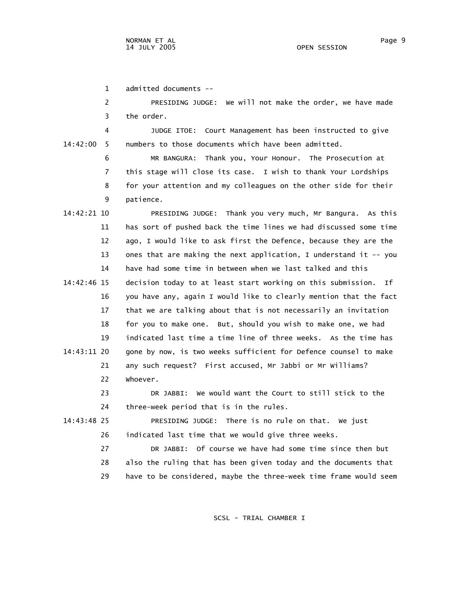1 admitted documents --

 2 PRESIDING JUDGE: We will not make the order, we have made 3 the order.

 4 JUDGE ITOE: Court Management has been instructed to give 14:42:00 5 numbers to those documents which have been admitted.

> 6 MR BANGURA: Thank you, Your Honour. The Prosecution at 7 this stage will close its case. I wish to thank Your Lordships 8 for your attention and my colleagues on the other side for their 9 patience.

 14:42:21 10 PRESIDING JUDGE: Thank you very much, Mr Bangura. As this 11 has sort of pushed back the time lines we had discussed some time 12 ago, I would like to ask first the Defence, because they are the 13 ones that are making the next application, I understand it -- you 14 have had some time in between when we last talked and this 14:42:46 15 decision today to at least start working on this submission. If 16 you have any, again I would like to clearly mention that the fact 17 that we are talking about that is not necessarily an invitation 18 for you to make one. But, should you wish to make one, we had 19 indicated last time a time line of three weeks. As the time has 14:43:11 20 gone by now, is two weeks sufficient for Defence counsel to make 21 any such request? First accused, Mr Jabbi or Mr Williams? 22 Whoever.

 23 DR JABBI: We would want the Court to still stick to the 24 three-week period that is in the rules.

 14:43:48 25 PRESIDING JUDGE: There is no rule on that. We just 26 indicated last time that we would give three weeks.

> 27 DR JABBI: Of course we have had some time since then but 28 also the ruling that has been given today and the documents that 29 have to be considered, maybe the three-week time frame would seem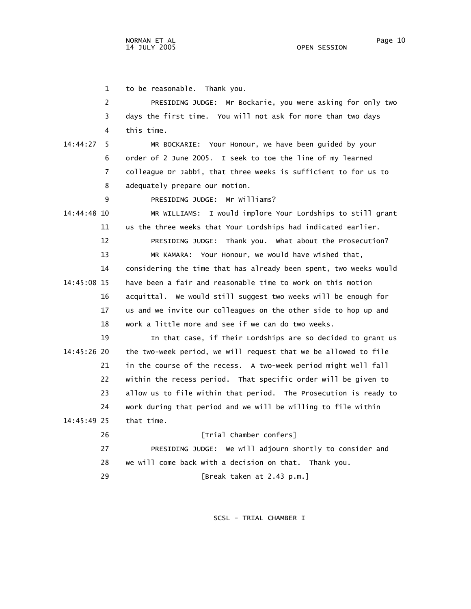1 to be reasonable. Thank you.

 2 PRESIDING JUDGE: Mr Bockarie, you were asking for only two 3 days the first time. You will not ask for more than two days 4 this time. 14:44:27 5 MR BOCKARIE: Your Honour, we have been guided by your 6 order of 2 June 2005. I seek to toe the line of my learned 7 colleague Dr Jabbi, that three weeks is sufficient to for us to 8 adequately prepare our motion. 9 PRESIDING JUDGE: Mr Williams? 14:44:48 10 MR WILLIAMS: I would implore Your Lordships to still grant 11 us the three weeks that Your Lordships had indicated earlier. 12 PRESIDING JUDGE: Thank you. What about the Prosecution? 13 MR KAMARA: Your Honour, we would have wished that, 14 considering the time that has already been spent, two weeks would 14:45:08 15 have been a fair and reasonable time to work on this motion 16 acquittal. We would still suggest two weeks will be enough for 17 us and we invite our colleagues on the other side to hop up and 18 work a little more and see if we can do two weeks. 19 In that case, if Their Lordships are so decided to grant us 14:45:26 20 the two-week period, we will request that we be allowed to file 21 in the course of the recess. A two-week period might well fall 22 within the recess period. That specific order will be given to 23 allow us to file within that period. The Prosecution is ready to 24 work during that period and we will be willing to file within 14:45:49 25 that time. 26 [Trial Chamber confers] 27 PRESIDING JUDGE: We will adjourn shortly to consider and 28 we will come back with a decision on that. Thank you. 29 [Break taken at 2.43 p.m.]